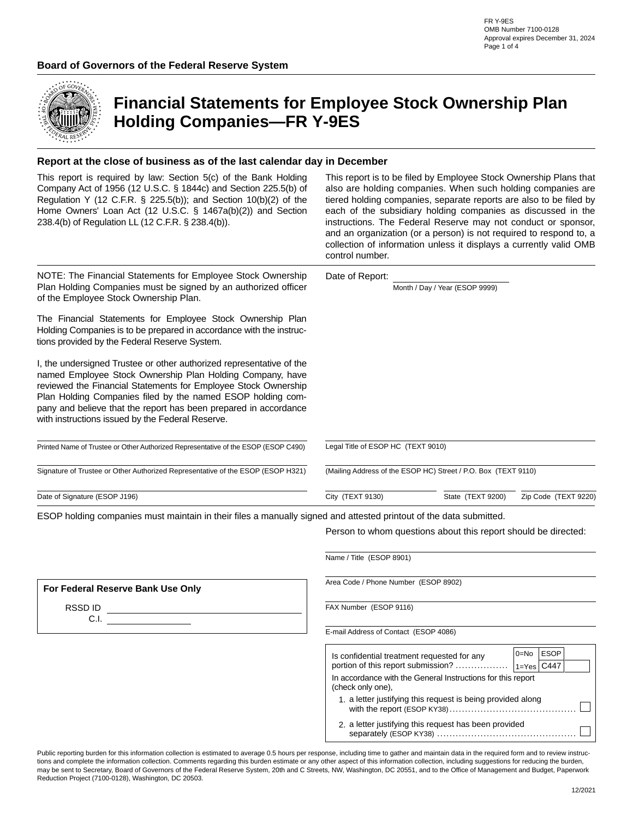

# **Financial Statements for Employee Stock Ownership Plan Holding Companies—FR Y-9ES**

#### **Report at the close of business as of the last calendar day in December**

| This report is required by law: Section 5(c) of the Bank Holding<br>Company Act of 1956 (12 U.S.C. § 1844c) and Section 225.5(b) of<br>Regulation Y (12 C.F.R. § 225.5(b)); and Section 10(b)(2) of the<br>Home Owners' Loan Act (12 U.S.C. § 1467a(b)(2)) and Section<br>238.4(b) of Regulation LL (12 C.F.R. § 238.4(b)).                                                                | This report is to be filed by Employee Stock Ownership Plans that<br>also are holding companies. When such holding companies are<br>tiered holding companies, separate reports are also to be filed by<br>each of the subsidiary holding companies as discussed in the<br>instructions. The Federal Reserve may not conduct or sponsor,<br>and an organization (or a person) is not required to respond to, a<br>collection of information unless it displays a currently valid OMB<br>control number. |                                |                      |  |
|--------------------------------------------------------------------------------------------------------------------------------------------------------------------------------------------------------------------------------------------------------------------------------------------------------------------------------------------------------------------------------------------|--------------------------------------------------------------------------------------------------------------------------------------------------------------------------------------------------------------------------------------------------------------------------------------------------------------------------------------------------------------------------------------------------------------------------------------------------------------------------------------------------------|--------------------------------|----------------------|--|
| NOTE: The Financial Statements for Employee Stock Ownership<br>Plan Holding Companies must be signed by an authorized officer<br>of the Employee Stock Ownership Plan.                                                                                                                                                                                                                     | Date of Report:                                                                                                                                                                                                                                                                                                                                                                                                                                                                                        | Month / Day / Year (ESOP 9999) |                      |  |
| The Financial Statements for Employee Stock Ownership Plan<br>Holding Companies is to be prepared in accordance with the instruc-<br>tions provided by the Federal Reserve System.                                                                                                                                                                                                         |                                                                                                                                                                                                                                                                                                                                                                                                                                                                                                        |                                |                      |  |
| I, the undersigned Trustee or other authorized representative of the<br>named Employee Stock Ownership Plan Holding Company, have<br>reviewed the Financial Statements for Employee Stock Ownership<br>Plan Holding Companies filed by the named ESOP holding com-<br>pany and believe that the report has been prepared in accordance<br>with instructions issued by the Federal Reserve. |                                                                                                                                                                                                                                                                                                                                                                                                                                                                                                        |                                |                      |  |
| Printed Name of Trustee or Other Authorized Representative of the ESOP (ESOP C490)                                                                                                                                                                                                                                                                                                         | Legal Title of ESOP HC (TEXT 9010)                                                                                                                                                                                                                                                                                                                                                                                                                                                                     |                                |                      |  |
| Signature of Trustee or Other Authorized Representative of the ESOP (ESOP H321)                                                                                                                                                                                                                                                                                                            | (Mailing Address of the ESOP HC) Street / P.O. Box (TEXT 9110)                                                                                                                                                                                                                                                                                                                                                                                                                                         |                                |                      |  |
| Date of Signature (ESOP J196)                                                                                                                                                                                                                                                                                                                                                              | City (TEXT 9130)                                                                                                                                                                                                                                                                                                                                                                                                                                                                                       | State (TEXT 9200)              | Zip Code (TEXT 9220) |  |
| .                                                                                                                                                                                                                                                                                                                                                                                          |                                                                                                                                                                                                                                                                                                                                                                                                                                                                                                        |                                |                      |  |

ESOP holding companies must maintain in their files a manually signed and attested printout of the data submitted.

Person to whom questions about this report should be directed:

|                                   | Name / Title (ESOP 8901)                                                                                                                                                             |
|-----------------------------------|--------------------------------------------------------------------------------------------------------------------------------------------------------------------------------------|
| For Federal Reserve Bank Use Only | Area Code / Phone Number (ESOP 8902)                                                                                                                                                 |
| RSSD ID<br>C.I.                   | FAX Number (ESOP 9116)                                                                                                                                                               |
|                                   | E-mail Address of Contact (ESOP 4086)                                                                                                                                                |
|                                   | $0 = No$ ESOP<br>Is confidential treatment requested for any<br>portion of this report submission?<br>$1$ =Yes $C447$<br>In accordance with the General Instructions for this report |
|                                   | (check only one).                                                                                                                                                                    |
|                                   | 1. a letter justifying this request is being provided along                                                                                                                          |
|                                   | 2. a letter justifying this request has been provided                                                                                                                                |

Public reporting burden for this information collection is estimated to average 0.5 hours per response, including time to gather and maintain data in the required form and to review instructions and complete the information collection. Comments regarding this burden estimate or any other aspect of this information collection, including suggestions for reducing the burden, may be sent to Secretary, Board of Governors of the Federal Reserve System, 20th and C Streets, NW, Washington, DC 20551, and to the Office of Management and Budget, Paperwork Reduction Project (7100-0128), Washington, DC 20503.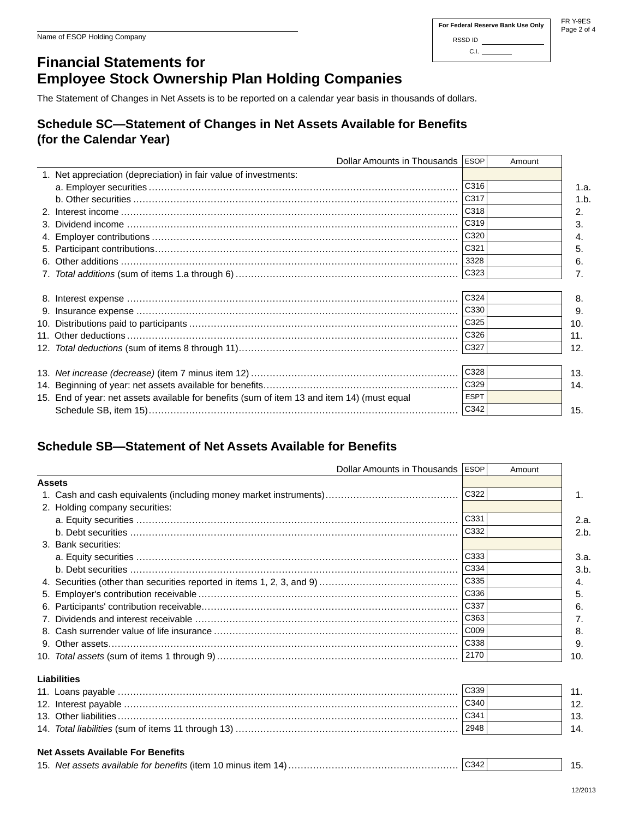#### **For Federal Reserve Bank Use Only** RSSD ID C.I.

FR Y-9ES Page 2 of 4

## **Financial Statements for Employee Stock Ownership Plan Holding Companies**

The Statement of Changes in Net Assets is to be reported on a calendar year basis in thousands of dollars.

### **Schedule SC—Statement of Changes in Net Assets Available for Benefits (for the Calendar Year)**

| Dollar Amounts in Thousands   ESOP                                                          |             | Amount |      |
|---------------------------------------------------------------------------------------------|-------------|--------|------|
| 1. Net appreciation (depreciation) in fair value of investments:                            |             |        |      |
|                                                                                             | C316        |        | 1.a. |
|                                                                                             | C317        |        | 1.b. |
|                                                                                             | C318        |        | 2.   |
|                                                                                             | C319        |        | 3.   |
|                                                                                             | C320        |        | 4.   |
|                                                                                             | C321        |        | 5.   |
|                                                                                             | 3328        |        | 6.   |
|                                                                                             | C323        |        | 7.   |
|                                                                                             |             |        |      |
|                                                                                             | C324        |        | 8.   |
|                                                                                             | C330        |        | 9.   |
|                                                                                             | C325        |        | 10.  |
|                                                                                             | C326        |        | 11.  |
|                                                                                             |             |        | 12.  |
|                                                                                             |             |        |      |
|                                                                                             | C328        |        | 13.  |
|                                                                                             | C329        |        | 14.  |
| 15. End of year: net assets available for benefits (sum of item 13 and item 14) (must equal | <b>ESPT</b> |        |      |
|                                                                                             | C342        |        | 15.  |

## **Schedule SB—Statement of Net Assets Available for Benefits**

| Dollar Amounts in Thousands ESOP                                                     |              | Amount |      |
|--------------------------------------------------------------------------------------|--------------|--------|------|
| <b>Assets</b>                                                                        |              |        |      |
|                                                                                      | C322         |        | 1.   |
| 2. Holding company securities:                                                       |              |        |      |
|                                                                                      | C331         |        | 2.a. |
|                                                                                      | C332         |        | 2.b. |
| 3. Bank securities:                                                                  |              |        |      |
|                                                                                      | C333         |        | 3.a. |
|                                                                                      | C334         |        | 3.b  |
|                                                                                      | $\vert$ C335 |        | 4.   |
|                                                                                      | $\vert$ C336 |        | 5.   |
|                                                                                      | C337         |        | 6.   |
|                                                                                      | $\vert$ C363 |        | 7.   |
|                                                                                      | COO9         |        | 8.   |
|                                                                                      | $\big $ C338 |        | 9.   |
|                                                                                      |              |        | 10.  |
| Liabilities                                                                          |              |        |      |
|                                                                                      | C339         |        | 11.  |
|                                                                                      | $\big $ C340 |        | 12.  |
|                                                                                      | C341         |        | 13.  |
| 14. Total liabilities (sum of items 11 through 13) ……………………………………………………………………   2948 |              |        | 14.  |
| <b>Net Assets Available For Benefits</b>                                             |              |        |      |
|                                                                                      |              |        | 15.  |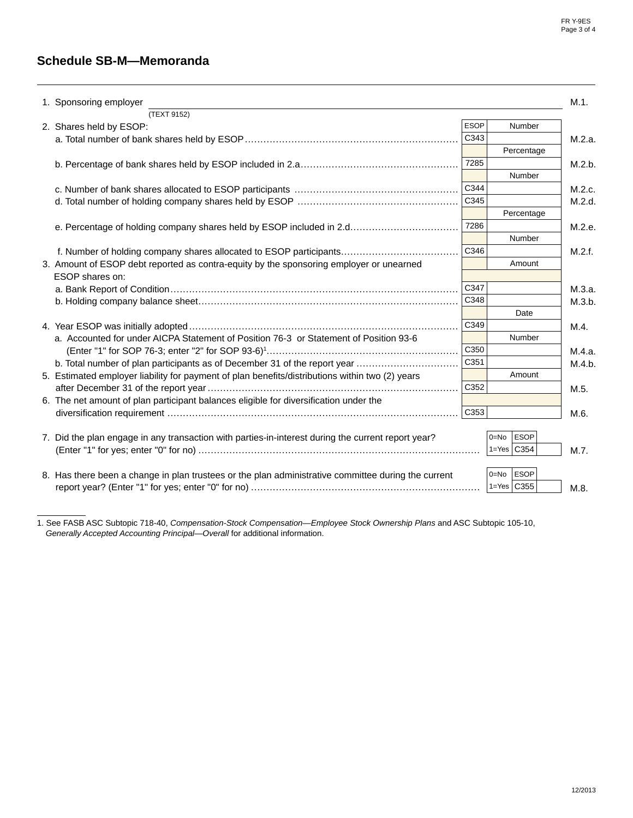### **Schedule SB-M—Memoranda**

|                                                                                                                                                                              |                  |                  | M.1.             |
|------------------------------------------------------------------------------------------------------------------------------------------------------------------------------|------------------|------------------|------------------|
| 1. Sponsoring employer<br>(TEXT 9152)                                                                                                                                        |                  |                  |                  |
| 2. Shares held by ESOP:                                                                                                                                                      | <b>ESOP</b>      | Number           |                  |
|                                                                                                                                                                              | C343             |                  | M.2.a.           |
|                                                                                                                                                                              |                  | Percentage       |                  |
|                                                                                                                                                                              | 7285             |                  | M.2.b.           |
|                                                                                                                                                                              |                  | Number           |                  |
|                                                                                                                                                                              | C344             |                  | M.2.c.           |
|                                                                                                                                                                              | C345             |                  | M.2.d.           |
|                                                                                                                                                                              |                  | Percentage       |                  |
| e. Percentage of holding company shares held by ESOP included in 2.d                                                                                                         | 7286             |                  | M.2.e.           |
|                                                                                                                                                                              |                  | Number           |                  |
| f. Number of holding company shares allocated to ESOP participants                                                                                                           | C346             |                  | M.2.f.           |
| 3. Amount of ESOP debt reported as contra-equity by the sponsoring employer or unearned                                                                                      |                  | Amount           |                  |
| ESOP shares on:                                                                                                                                                              |                  |                  |                  |
|                                                                                                                                                                              | C347             |                  | M.3.a.           |
|                                                                                                                                                                              | C348             |                  |                  |
|                                                                                                                                                                              |                  | Date             |                  |
|                                                                                                                                                                              | C349             |                  |                  |
| a. Accounted for under AICPA Statement of Position 76-3 or Statement of Position 93-6                                                                                        |                  | Number           | M.4.             |
|                                                                                                                                                                              | C350             |                  |                  |
|                                                                                                                                                                              | C <sub>351</sub> |                  | M.4.a.<br>M.4.b. |
| b. Total number of plan participants as of December 31 of the report year<br>5. Estimated employer liability for payment of plan benefits/distributions within two (2) years |                  | Amount           |                  |
|                                                                                                                                                                              | C352             |                  |                  |
|                                                                                                                                                                              |                  |                  | M.5.             |
| 6. The net amount of plan participant balances eligible for diversification under the                                                                                        | $\vert$ C353     |                  |                  |
|                                                                                                                                                                              |                  |                  | M.6.             |
|                                                                                                                                                                              |                  | $0 = No$ ESOP    |                  |
| 7. Did the plan engage in any transaction with parties-in-interest during the current report year?                                                                           |                  | $1 = Yes$ $C354$ |                  |
|                                                                                                                                                                              |                  |                  | M.7.             |
|                                                                                                                                                                              |                  | ESOP<br>$0 = No$ |                  |
| 8. Has there been a change in plan trustees or the plan administrative committee during the current                                                                          |                  | $1 = Yes$ $C355$ |                  |
|                                                                                                                                                                              |                  |                  | M.8.             |

1. See FASB ASC Subtopic 718-40, *Compensation-Stock Compensation—Employee Stock Ownership Plans* and ASC Subtopic 105-10,  *Generally Accepted Accounting Principal—Overall* for additional information.